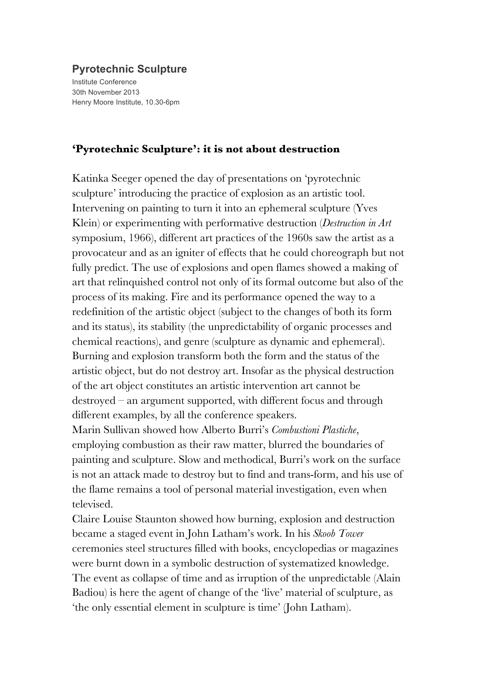## **Pyrotechnic Sculpture**

Institute Conference 30th November 2013 Henry Moore Institute, 10.30-6pm

## **'Pyrotechnic Sculpture': it is not about destruction**

Katinka Seeger opened the day of presentations on 'pyrotechnic sculpture' introducing the practice of explosion as an artistic tool. Intervening on painting to turn it into an ephemeral sculpture (Yves Klein) or experimenting with performative destruction (*Destruction in Art* symposium, 1966), different art practices of the 1960s saw the artist as a provocateur and as an igniter of effects that he could choreograph but not fully predict. The use of explosions and open flames showed a making of art that relinquished control not only of its formal outcome but also of the process of its making. Fire and its performance opened the way to a redefinition of the artistic object (subject to the changes of both its form and its status), its stability (the unpredictability of organic processes and chemical reactions), and genre (sculpture as dynamic and ephemeral). Burning and explosion transform both the form and the status of the artistic object, but do not destroy art. Insofar as the physical destruction of the art object constitutes an artistic intervention art cannot be destroyed – an argument supported, with different focus and through different examples, by all the conference speakers.

Marin Sullivan showed how Alberto Burri's *Combustioni Plastiche*, employing combustion as their raw matter, blurred the boundaries of painting and sculpture. Slow and methodical, Burri's work on the surface is not an attack made to destroy but to find and trans-form, and his use of the flame remains a tool of personal material investigation, even when televised.

Claire Louise Staunton showed how burning, explosion and destruction became a staged event in John Latham's work. In his *Skoob Tower*  ceremonies steel structures filled with books, encyclopedias or magazines were burnt down in a symbolic destruction of systematized knowledge. The event as collapse of time and as irruption of the unpredictable (Alain Badiou) is here the agent of change of the 'live' material of sculpture, as 'the only essential element in sculpture is time' (John Latham).